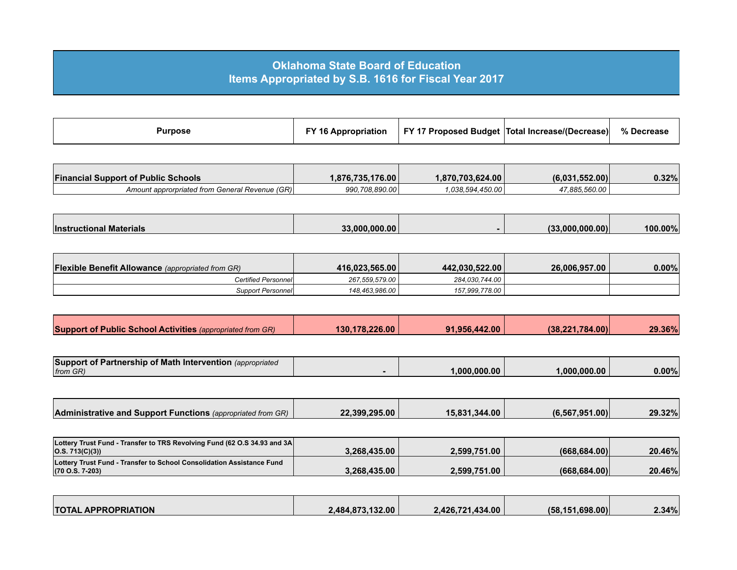## **Oklahoma State Board of Education Items Appropriated by S.B. 1616 for Fiscal Year 2017**

| Purpose | FY 16 Appropriation |  | FY 17 Proposed Budget   Total Increase/(Decrease) | % Decrease |
|---------|---------------------|--|---------------------------------------------------|------------|
|---------|---------------------|--|---------------------------------------------------|------------|

| <b>Financial Support of Public Schools</b>     | 1.876.735.176.00 | 1,870,703,624.00 | (6.031.552.00) | 0.32% |
|------------------------------------------------|------------------|------------------|----------------|-------|
| Amount approrpriated from General Revenue (GR) | 990.708.890.00   |                  | 17.885.560.00  |       |

| <i><b>Instructional</b></i><br>l Materials | 33.000.000.00 | ا (00.000.000<br>$\sqrt{2}$ | 100.00% |
|--------------------------------------------|---------------|-----------------------------|---------|

| <b>Flexible Benefit Allowance</b> (appropriated from GR) | 416.023.565.00 | 442.030.522.00 | 26.006.957.00 | $0.00\%$ |
|----------------------------------------------------------|----------------|----------------|---------------|----------|
| <b>Certified Personnel</b>                               | 267.559.579.00 | 284.030.744.00 |               |          |
| Support Personnel                                        | 148.463.986.00 | 157.999.778.00 |               |          |

| Support of Public School Activities (appropriated from GR) | 130.178.226.00 | 91.956.442.00 | (38.221.784.00) | 29.36% |
|------------------------------------------------------------|----------------|---------------|-----------------|--------|

| Support of Partnership of Math Intervention (appropriated |             |             |          |
|-----------------------------------------------------------|-------------|-------------|----------|
| from GR)                                                  | .000.000.00 | .000.000.00 | $0.00\%$ |

| <b>Administrative and Support Functions</b> (appropriated from GR) | 22.399.295.00 | 15.831.344.00 | (6.567.951.00) | 29.32% |
|--------------------------------------------------------------------|---------------|---------------|----------------|--------|

| Lottery Trust Fund - Transfer to TRS Revolving Fund (62 O.S 34.93 and 3A<br> O.S. 713(C)(3)                | 3.268.435.00 | 2.599.751.00 | (668.684.00)  | 20.46% |
|------------------------------------------------------------------------------------------------------------|--------------|--------------|---------------|--------|
| <b>Lottery Trust Fund - Transfer to School Consolidation Assistance Fund</b><br>$(70 \text{ O.S. } 7-203)$ | 3.268.435.00 | 2,599,751.00 | (668, 684.00) | 20.46% |

| <b>TOTAL APPROPRIATION</b> | 2.484.873.132.00 | 2.426.721.434.00 | (58.151.698.00) | 2.34% |
|----------------------------|------------------|------------------|-----------------|-------|